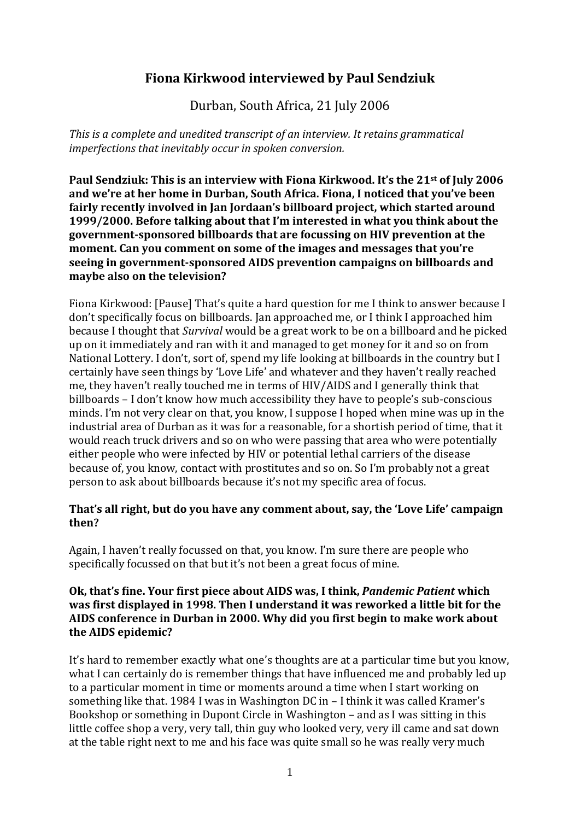# **Fiona Kirkwood interviewed by Paul Sendziuk**

Durban, South Africa, 21 July 2006

*This is a complete and unedited transcript of an interview. It retains grammatical imperfections that inevitably occur in spoken conversion.*

**Paul Sendziuk: This is an interview with Fiona Kirkwood. It's the 21st of July 2006 and we're at her home in Durban, South Africa. Fiona, I noticed that you've been fairly recently involved in Jan Jordaan's billboard project, which started around 1999/2000. Before talking about that I'm interested in what you think about the government-sponsored billboards that are focussing on HIV prevention at the moment. Can you comment on some of the images and messages that you're seeing in government-sponsored AIDS prevention campaigns on billboards and maybe also on the television?**

Fiona Kirkwood: [Pause] That's quite a hard question for me I think to answer because I don't specifically focus on billboards. Jan approached me, or I think I approached him because I thought that *Survival* would be a great work to be on a billboard and he picked up on it immediately and ran with it and managed to get money for it and so on from National Lottery. I don't, sort of, spend my life looking at billboards in the country but I certainly have seen things by 'Love Life' and whatever and they haven't really reached me, they haven't really touched me in terms of HIV/AIDS and I generally think that billboards – I don't know how much accessibility they have to people's sub-conscious minds. I'm not very clear on that, you know, I suppose I hoped when mine was up in the industrial area of Durban as it was for a reasonable, for a shortish period of time, that it would reach truck drivers and so on who were passing that area who were potentially either people who were infected by HIV or potential lethal carriers of the disease because of, you know, contact with prostitutes and so on. So I'm probably not a great person to ask about billboards because it's not my specific area of focus.

### **That's all right, but do you have any comment about, say, the 'Love Life' campaign then?**

Again, I haven't really focussed on that, you know. I'm sure there are people who specifically focussed on that but it's not been a great focus of mine.

#### **Ok, that's fine. Your first piece about AIDS was, I think,** *Pandemic Patient* **which was first displayed in 1998. Then I understand it was reworked a little bit for the AIDS conference in Durban in 2000. Why did you first begin to make work about the AIDS epidemic?**

It's hard to remember exactly what one's thoughts are at a particular time but you know, what I can certainly do is remember things that have influenced me and probably led up to a particular moment in time or moments around a time when I start working on something like that. 1984 I was in Washington DC in – I think it was called Kramer's Bookshop or something in Dupont Circle in Washington – and as I was sitting in this little coffee shop a very, very tall, thin guy who looked very, very ill came and sat down at the table right next to me and his face was quite small so he was really very much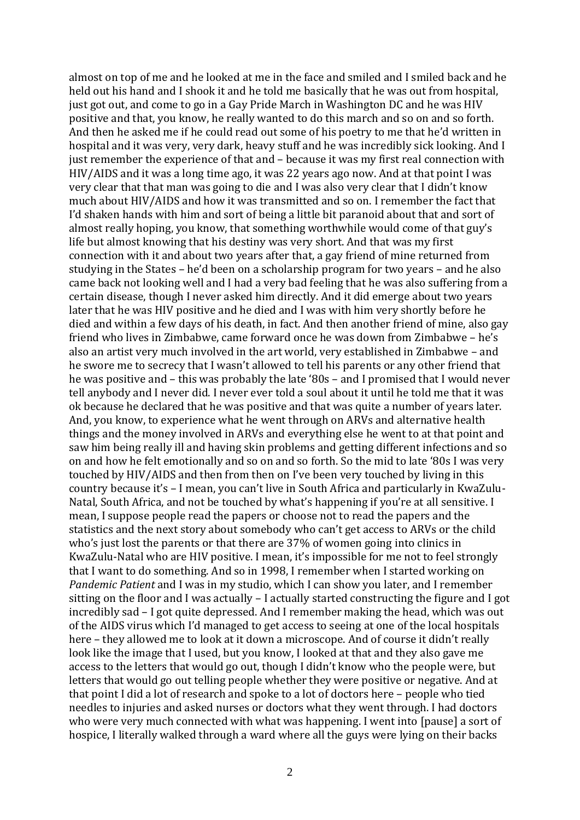almost on top of me and he looked at me in the face and smiled and I smiled back and he held out his hand and I shook it and he told me basically that he was out from hospital, just got out, and come to go in a Gay Pride March in Washington DC and he was HIV positive and that, you know, he really wanted to do this march and so on and so forth. And then he asked me if he could read out some of his poetry to me that he'd written in hospital and it was very, very dark, heavy stuff and he was incredibly sick looking. And I just remember the experience of that and – because it was my first real connection with HIV/AIDS and it was a long time ago, it was 22 years ago now. And at that point I was very clear that that man was going to die and I was also very clear that I didn't know much about HIV/AIDS and how it was transmitted and so on. I remember the fact that I'd shaken hands with him and sort of being a little bit paranoid about that and sort of almost really hoping, you know, that something worthwhile would come of that guy's life but almost knowing that his destiny was very short. And that was my first connection with it and about two years after that, a gay friend of mine returned from studying in the States – he'd been on a scholarship program for two years – and he also came back not looking well and I had a very bad feeling that he was also suffering from a certain disease, though I never asked him directly. And it did emerge about two years later that he was HIV positive and he died and I was with him very shortly before he died and within a few days of his death, in fact. And then another friend of mine, also gay friend who lives in Zimbabwe, came forward once he was down from Zimbabwe – he's also an artist very much involved in the art world, very established in Zimbabwe – and he swore me to secrecy that I wasn't allowed to tell his parents or any other friend that he was positive and – this was probably the late '80s – and I promised that I would never tell anybody and I never did. I never ever told a soul about it until he told me that it was ok because he declared that he was positive and that was quite a number of years later. And, you know, to experience what he went through on ARVs and alternative health things and the money involved in ARVs and everything else he went to at that point and saw him being really ill and having skin problems and getting different infections and so on and how he felt emotionally and so on and so forth. So the mid to late '80s I was very touched by HIV/AIDS and then from then on I've been very touched by living in this country because it's – I mean, you can't live in South Africa and particularly in KwaZulu-Natal, South Africa, and not be touched by what's happening if you're at all sensitive. I mean, I suppose people read the papers or choose not to read the papers and the statistics and the next story about somebody who can't get access to ARVs or the child who's just lost the parents or that there are 37% of women going into clinics in KwaZulu-Natal who are HIV positive. I mean, it's impossible for me not to feel strongly that I want to do something. And so in 1998, I remember when I started working on *Pandemic Patient* and I was in my studio, which I can show you later, and I remember sitting on the floor and I was actually – I actually started constructing the figure and I got incredibly sad – I got quite depressed. And I remember making the head, which was out of the AIDS virus which I'd managed to get access to seeing at one of the local hospitals here – they allowed me to look at it down a microscope. And of course it didn't really look like the image that I used, but you know, I looked at that and they also gave me access to the letters that would go out, though I didn't know who the people were, but letters that would go out telling people whether they were positive or negative. And at that point I did a lot of research and spoke to a lot of doctors here – people who tied needles to injuries and asked nurses or doctors what they went through. I had doctors who were very much connected with what was happening. I went into [pause] a sort of hospice, I literally walked through a ward where all the guys were lying on their backs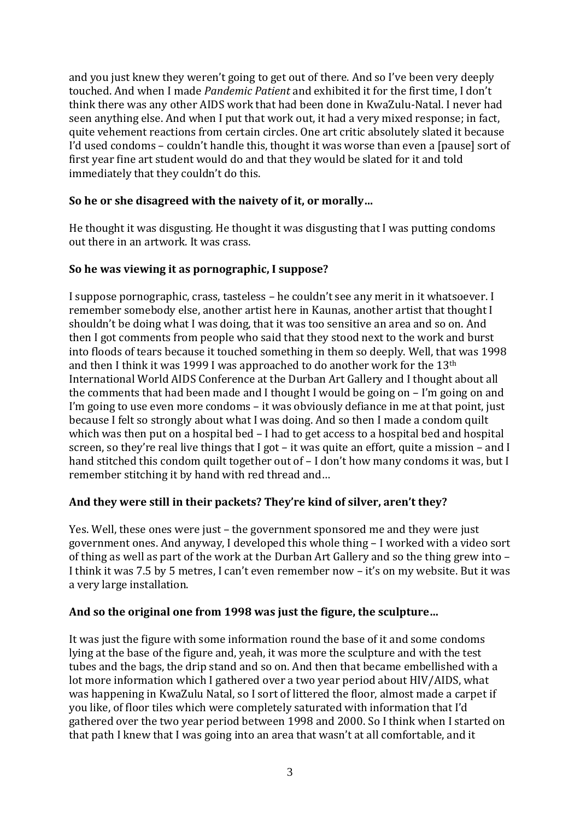and you just knew they weren't going to get out of there. And so I've been very deeply touched. And when I made *Pandemic Patient* and exhibited it for the first time, I don't think there was any other AIDS work that had been done in KwaZulu-Natal. I never had seen anything else. And when I put that work out, it had a very mixed response; in fact, quite vehement reactions from certain circles. One art critic absolutely slated it because I'd used condoms – couldn't handle this, thought it was worse than even a [pause] sort of first year fine art student would do and that they would be slated for it and told immediately that they couldn't do this.

### **So he or she disagreed with the naivety of it, or morally…**

He thought it was disgusting. He thought it was disgusting that I was putting condoms out there in an artwork. It was crass.

### **So he was viewing it as pornographic, I suppose?**

I suppose pornographic, crass, tasteless – he couldn't see any merit in it whatsoever. I remember somebody else, another artist here in Kaunas, another artist that thought I shouldn't be doing what I was doing, that it was too sensitive an area and so on. And then I got comments from people who said that they stood next to the work and burst into floods of tears because it touched something in them so deeply. Well, that was 1998 and then I think it was 1999 I was approached to do another work for the 13th International World AIDS Conference at the Durban Art Gallery and I thought about all the comments that had been made and I thought I would be going on – I'm going on and I'm going to use even more condoms – it was obviously defiance in me at that point, just because I felt so strongly about what I was doing. And so then I made a condom quilt which was then put on a hospital bed – I had to get access to a hospital bed and hospital screen, so they're real live things that I got – it was quite an effort, quite a mission – and I hand stitched this condom quilt together out of – I don't how many condoms it was, but I remember stitching it by hand with red thread and…

### **And they were still in their packets? They're kind of silver, aren't they?**

Yes. Well, these ones were just – the government sponsored me and they were just government ones. And anyway, I developed this whole thing – I worked with a video sort of thing as well as part of the work at the Durban Art Gallery and so the thing grew into – I think it was 7.5 by 5 metres, I can't even remember now – it's on my website. But it was a very large installation.

#### **And so the original one from 1998 was just the figure, the sculpture…**

It was just the figure with some information round the base of it and some condoms lying at the base of the figure and, yeah, it was more the sculpture and with the test tubes and the bags, the drip stand and so on. And then that became embellished with a lot more information which I gathered over a two year period about HIV/AIDS, what was happening in KwaZulu Natal, so I sort of littered the floor, almost made a carpet if you like, of floor tiles which were completely saturated with information that I'd gathered over the two year period between 1998 and 2000. So I think when I started on that path I knew that I was going into an area that wasn't at all comfortable, and it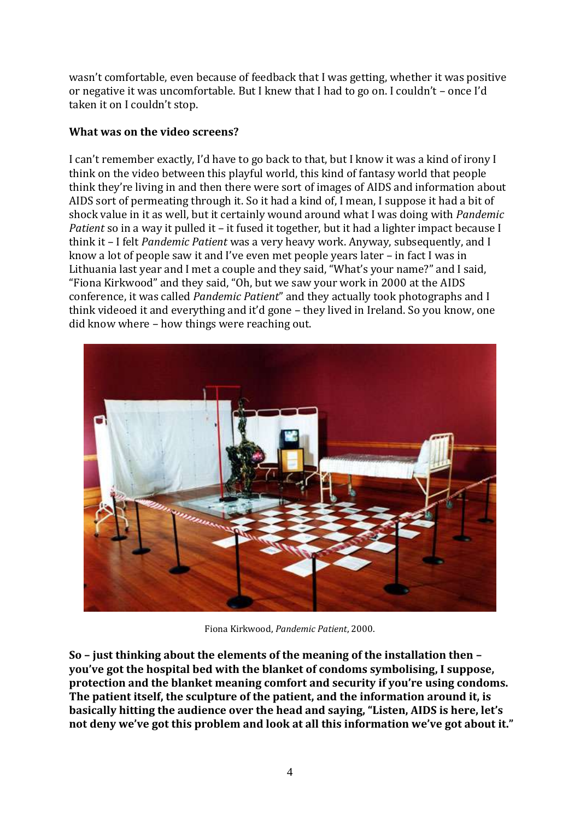wasn't comfortable, even because of feedback that I was getting, whether it was positive or negative it was uncomfortable. But I knew that I had to go on. I couldn't – once I'd taken it on I couldn't stop.

### **What was on the video screens?**

I can't remember exactly, I'd have to go back to that, but I know it was a kind of irony I think on the video between this playful world, this kind of fantasy world that people think they're living in and then there were sort of images of AIDS and information about AIDS sort of permeating through it. So it had a kind of, I mean, I suppose it had a bit of shock value in it as well, but it certainly wound around what I was doing with *Pandemic Patient* so in a way it pulled it – it fused it together, but it had a lighter impact because I think it – I felt *Pandemic Patient* was a very heavy work. Anyway, subsequently, and I know a lot of people saw it and I've even met people years later – in fact I was in Lithuania last year and I met a couple and they said, "What's your name?" and I said, "Fiona Kirkwood" and they said, "Oh, but we saw your work in 2000 at the AIDS conference, it was called *Pandemic Patient*" and they actually took photographs and I think videoed it and everything and it'd gone – they lived in Ireland. So you know, one did know where – how things were reaching out.



Fiona Kirkwood, *Pandemic Patient*, 2000.

**So – just thinking about the elements of the meaning of the installation then – you've got the hospital bed with the blanket of condoms symbolising, I suppose, protection and the blanket meaning comfort and security if you're using condoms. The patient itself, the sculpture of the patient, and the information around it, is basically hitting the audience over the head and saying, "Listen, AIDS is here, let's not deny we've got this problem and look at all this information we've got about it."**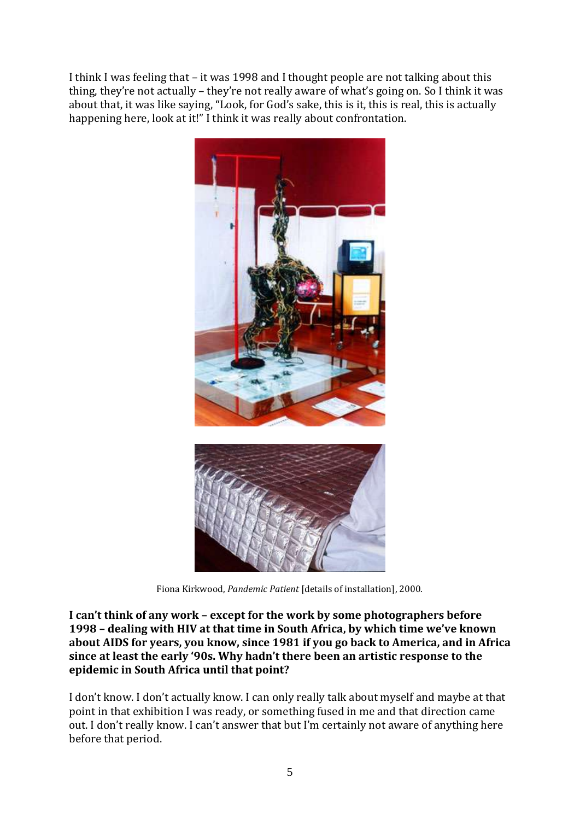I think I was feeling that – it was 1998 and I thought people are not talking about this thing, they're not actually – they're not really aware of what's going on. So I think it was about that, it was like saying, "Look, for God's sake, this is it, this is real, this is actually happening here, look at it!" I think it was really about confrontation.



Fiona Kirkwood, *Pandemic Patient* [details of installation], 2000.

**I can't think of any work – except for the work by some photographers before 1998 – dealing with HIV at that time in South Africa, by which time we've known about AIDS for years, you know, since 1981 if you go back to America, and in Africa since at least the early '90s. Why hadn't there been an artistic response to the epidemic in South Africa until that point?**

I don't know. I don't actually know. I can only really talk about myself and maybe at that point in that exhibition I was ready, or something fused in me and that direction came out. I don't really know. I can't answer that but I'm certainly not aware of anything here before that period.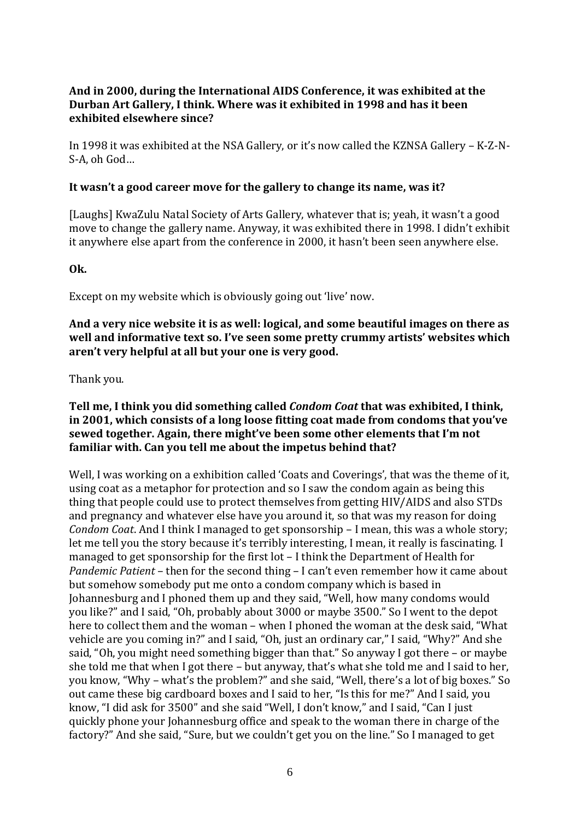### **And in 2000, during the International AIDS Conference, it was exhibited at the Durban Art Gallery, I think. Where was it exhibited in 1998 and has it been exhibited elsewhere since?**

In 1998 it was exhibited at the NSA Gallery, or it's now called the KZNSA Gallery – K-Z-N-S-A, oh God…

#### **It wasn't a good career move for the gallery to change its name, was it?**

[Laughs] KwaZulu Natal Society of Arts Gallery, whatever that is; yeah, it wasn't a good move to change the gallery name. Anyway, it was exhibited there in 1998. I didn't exhibit it anywhere else apart from the conference in 2000, it hasn't been seen anywhere else.

### **Ok.**

Except on my website which is obviously going out 'live' now.

**And a very nice website it is as well: logical, and some beautiful images on there as well and informative text so. I've seen some pretty crummy artists' websites which aren't very helpful at all but your one is very good.**

Thank you.

#### **Tell me, I think you did something called** *Condom Coat* **that was exhibited, I think, in 2001, which consists of a long loose fitting coat made from condoms that you've sewed together. Again, there might've been some other elements that I'm not familiar with. Can you tell me about the impetus behind that?**

Well, I was working on a exhibition called 'Coats and Coverings', that was the theme of it, using coat as a metaphor for protection and so I saw the condom again as being this thing that people could use to protect themselves from getting HIV/AIDS and also STDs and pregnancy and whatever else have you around it, so that was my reason for doing *Condom Coat*. And I think I managed to get sponsorship – I mean, this was a whole story; let me tell you the story because it's terribly interesting, I mean, it really is fascinating. I managed to get sponsorship for the first lot – I think the Department of Health for *Pandemic Patient* – then for the second thing – I can't even remember how it came about but somehow somebody put me onto a condom company which is based in Johannesburg and I phoned them up and they said, "Well, how many condoms would you like?" and I said, "Oh, probably about 3000 or maybe 3500." So I went to the depot here to collect them and the woman – when I phoned the woman at the desk said, "What vehicle are you coming in?" and I said, "Oh, just an ordinary car," I said, "Why?" And she said, "Oh, you might need something bigger than that." So anyway I got there – or maybe she told me that when I got there – but anyway, that's what she told me and I said to her, you know, "Why – what's the problem?" and she said, "Well, there's a lot of big boxes." So out came these big cardboard boxes and I said to her, "Is this for me?" And I said, you know, "I did ask for 3500" and she said "Well, I don't know," and I said, "Can I just quickly phone your Johannesburg office and speak to the woman there in charge of the factory?" And she said, "Sure, but we couldn't get you on the line." So I managed to get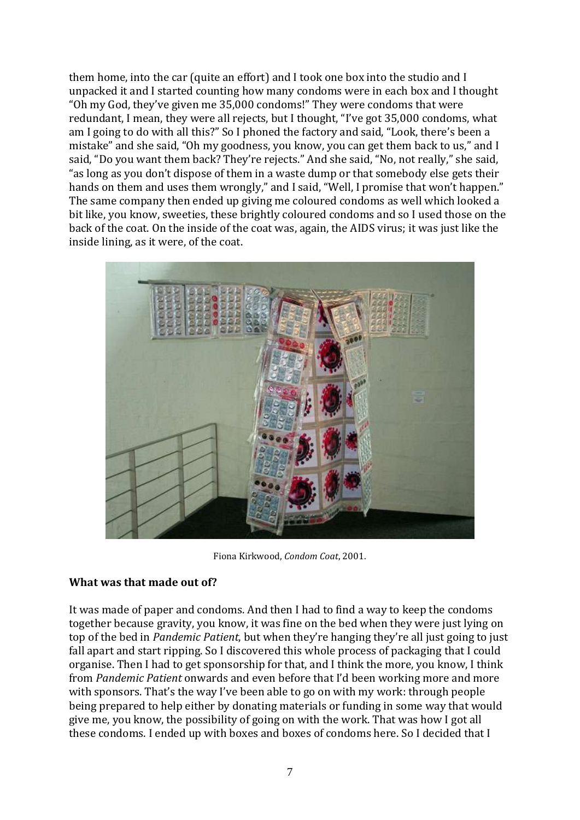them home, into the car (quite an effort) and I took one box into the studio and I unpacked it and I started counting how many condoms were in each box and I thought "Oh my God, they've given me 35,000 condoms!" They were condoms that were redundant, I mean, they were all rejects, but I thought, "I've got 35,000 condoms, what am I going to do with all this?" So I phoned the factory and said, "Look, there's been a mistake" and she said, "Oh my goodness, you know, you can get them back to us," and I said, "Do you want them back? They're rejects." And she said, "No, not really," she said, "as long as you don't dispose of them in a waste dump or that somebody else gets their hands on them and uses them wrongly," and I said, "Well, I promise that won't happen." The same company then ended up giving me coloured condoms as well which looked a bit like, you know, sweeties, these brightly coloured condoms and so I used those on the back of the coat. On the inside of the coat was, again, the AIDS virus; it was just like the inside lining, as it were, of the coat.



Fiona Kirkwood, *Condom Coat*, 2001.

#### **What was that made out of?**

It was made of paper and condoms. And then I had to find a way to keep the condoms together because gravity, you know, it was fine on the bed when they were just lying on top of the bed in *Pandemic Patient*, but when they're hanging they're all just going to just fall apart and start ripping. So I discovered this whole process of packaging that I could organise. Then I had to get sponsorship for that, and I think the more, you know, I think from *Pandemic Patient* onwards and even before that I'd been working more and more with sponsors. That's the way I've been able to go on with my work: through people being prepared to help either by donating materials or funding in some way that would give me, you know, the possibility of going on with the work. That was how I got all these condoms. I ended up with boxes and boxes of condoms here. So I decided that I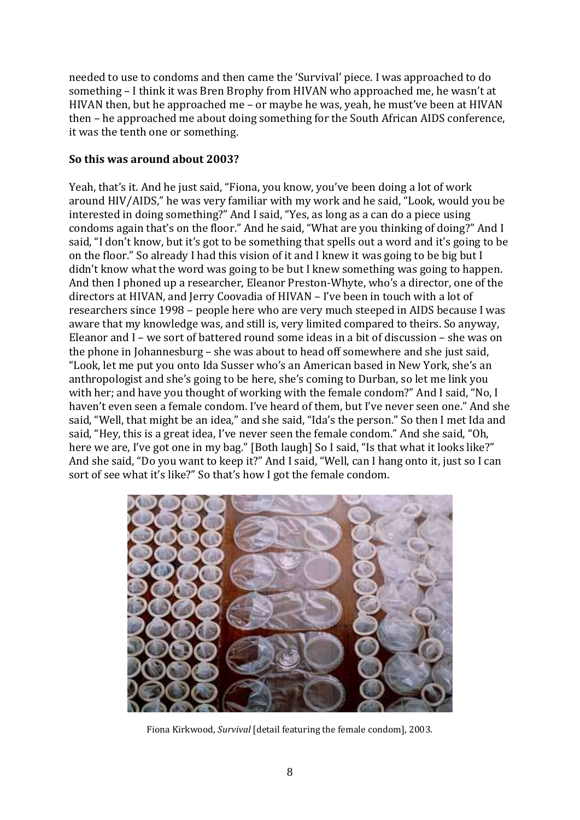needed to use to condoms and then came the 'Survival' piece. I was approached to do something – I think it was Bren Brophy from HIVAN who approached me, he wasn't at HIVAN then, but he approached me – or maybe he was, yeah, he must've been at HIVAN then – he approached me about doing something for the South African AIDS conference, it was the tenth one or something.

### **So this was around about 2003?**

Yeah, that's it. And he just said, "Fiona, you know, you've been doing a lot of work around HIV/AIDS," he was very familiar with my work and he said, "Look, would you be interested in doing something?" And I said, "Yes, as long as a can do a piece using condoms again that's on the floor." And he said, "What are you thinking of doing?" And I said, "I don't know, but it's got to be something that spells out a word and it's going to be on the floor." So already I had this vision of it and I knew it was going to be big but I didn't know what the word was going to be but I knew something was going to happen. And then I phoned up a researcher, Eleanor Preston-Whyte, who's a director, one of the directors at HIVAN, and Jerry Coovadia of HIVAN – I've been in touch with a lot of researchers since 1998 – people here who are very much steeped in AIDS because I was aware that my knowledge was, and still is, very limited compared to theirs. So anyway, Eleanor and I – we sort of battered round some ideas in a bit of discussion – she was on the phone in Johannesburg – she was about to head off somewhere and she just said, "Look, let me put you onto Ida Susser who's an American based in New York, she's an anthropologist and she's going to be here, she's coming to Durban, so let me link you with her; and have you thought of working with the female condom?" And I said, "No, I haven't even seen a female condom. I've heard of them, but I've never seen one." And she said, "Well, that might be an idea," and she said, "Ida's the person." So then I met Ida and said, "Hey, this is a great idea, I've never seen the female condom." And she said, "Oh, here we are, I've got one in my bag." [Both laugh] So I said, "Is that what it looks like?" And she said, "Do you want to keep it?" And I said, "Well, can I hang onto it, just so I can sort of see what it's like?" So that's how I got the female condom.



Fiona Kirkwood, *Survival* [detail featuring the female condom], 2003.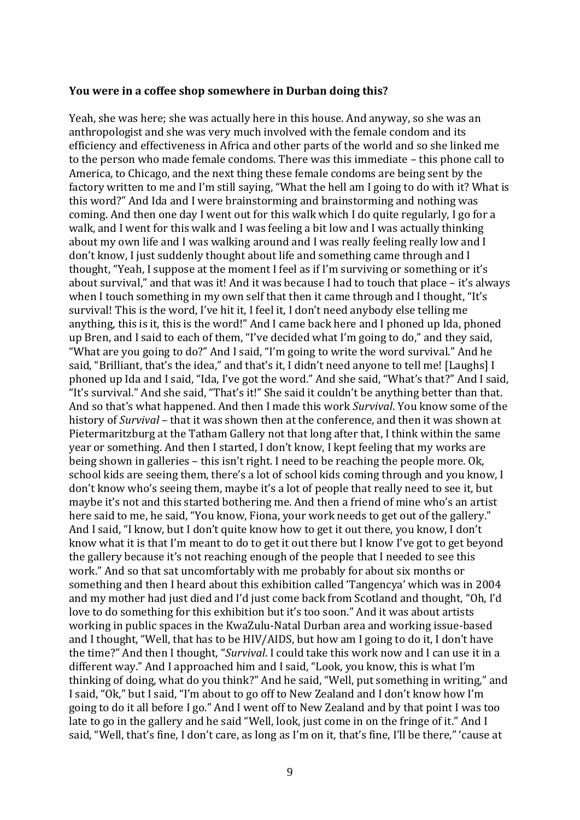#### **You were in a coffee shop somewhere in Durban doing this?**

Yeah, she was here; she was actually here in this house. And anyway, so she was an anthropologist and she was very much involved with the female condom and its efficiency and effectiveness in Africa and other parts of the world and so she linked me to the person who made female condoms. There was this immediate – this phone call to America, to Chicago, and the next thing these female condoms are being sent by the factory written to me and I'm still saying, "What the hell am I going to do with it? What is this word?" And Ida and I were brainstorming and brainstorming and nothing was coming. And then one day I went out for this walk which I do quite regularly, I go for a walk, and I went for this walk and I was feeling a bit low and I was actually thinking about my own life and I was walking around and I was really feeling really low and I don't know, I just suddenly thought about life and something came through and I thought, "Yeah, I suppose at the moment I feel as if I'm surviving or something or it's about survival," and that was it! And it was because I had to touch that place – it's always when I touch something in my own self that then it came through and I thought, "It's survival! This is the word, I've hit it, I feel it, I don't need anybody else telling me anything, this is it, this is the word!" And I came back here and I phoned up Ida, phoned up Bren, and I said to each of them, "I've decided what I'm going to do," and they said, "What are you going to do?" And I said, "I'm going to write the word survival." And he said, "Brilliant, that's the idea," and that's it, I didn't need anyone to tell me! [Laughs] I phoned up Ida and I said, "Ida, I've got the word." And she said, "What's that?" And I said, "It's survival." And she said, "That's it!" She said it couldn't be anything better than that. And so that's what happened. And then I made this work *Survival*. You know some of the history of *Survival* – that it was shown then at the conference, and then it was shown at Pietermaritzburg at the Tatham Gallery not that long after that, I think within the same year or something. And then I started, I don't know, I kept feeling that my works are being shown in galleries – this isn't right. I need to be reaching the people more. Ok, school kids are seeing them, there's a lot of school kids coming through and you know, I don't know who's seeing them, maybe it's a lot of people that really need to see it, but maybe it's not and this started bothering me. And then a friend of mine who's an artist here said to me, he said, "You know, Fiona, your work needs to get out of the gallery." And I said, "I know, but I don't quite know how to get it out there, you know, I don't know what it is that I'm meant to do to get it out there but I know I've got to get beyond the gallery because it's not reaching enough of the people that I needed to see this work." And so that sat uncomfortably with me probably for about six months or something and then I heard about this exhibition called 'Tangencya' which was in 2004 and my mother had just died and I'd just come back from Scotland and thought, "Oh, I'd love to do something for this exhibition but it's too soon." And it was about artists working in public spaces in the KwaZulu-Natal Durban area and working issue-based and I thought, "Well, that has to be HIV/AIDS, but how am I going to do it, I don't have the time?" And then I thought, "*Survival*. I could take this work now and I can use it in a different way." And I approached him and I said, "Look, you know, this is what I'm thinking of doing, what do you think?" And he said, "Well, put something in writing," and I said, "Ok," but I said, "I'm about to go off to New Zealand and I don't know how I'm going to do it all before I go." And I went off to New Zealand and by that point I was too late to go in the gallery and he said "Well, look, just come in on the fringe of it." And I said, "Well, that's fine, I don't care, as long as I'm on it, that's fine, I'll be there," 'cause at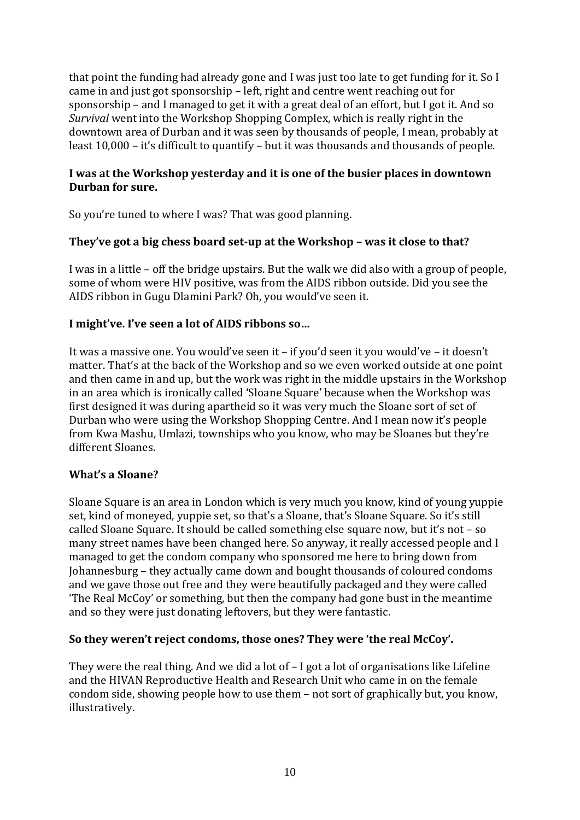that point the funding had already gone and I was just too late to get funding for it. So I came in and just got sponsorship – left, right and centre went reaching out for sponsorship – and I managed to get it with a great deal of an effort, but I got it. And so *Survival* went into the Workshop Shopping Complex, which is really right in the downtown area of Durban and it was seen by thousands of people, I mean, probably at least 10,000 – it's difficult to quantify – but it was thousands and thousands of people.

#### **I was at the Workshop yesterday and it is one of the busier places in downtown Durban for sure.**

So you're tuned to where I was? That was good planning.

### **They've got a big chess board set-up at the Workshop – was it close to that?**

I was in a little – off the bridge upstairs. But the walk we did also with a group of people, some of whom were HIV positive, was from the AIDS ribbon outside. Did you see the AIDS ribbon in Gugu Dlamini Park? Oh, you would've seen it.

#### **I might've. I've seen a lot of AIDS ribbons so…**

It was a massive one. You would've seen it – if you'd seen it you would've – it doesn't matter. That's at the back of the Workshop and so we even worked outside at one point and then came in and up, but the work was right in the middle upstairs in the Workshop in an area which is ironically called 'Sloane Square' because when the Workshop was first designed it was during apartheid so it was very much the Sloane sort of set of Durban who were using the Workshop Shopping Centre. And I mean now it's people from Kwa Mashu, Umlazi, townships who you know, who may be Sloanes but they're different Sloanes.

#### **What's a Sloane?**

Sloane Square is an area in London which is very much you know, kind of young yuppie set, kind of moneyed, yuppie set, so that's a Sloane, that's Sloane Square. So it's still called Sloane Square. It should be called something else square now, but it's not – so many street names have been changed here. So anyway, it really accessed people and I managed to get the condom company who sponsored me here to bring down from Johannesburg – they actually came down and bought thousands of coloured condoms and we gave those out free and they were beautifully packaged and they were called 'The Real McCoy' or something, but then the company had gone bust in the meantime and so they were just donating leftovers, but they were fantastic.

#### **So they weren't reject condoms, those ones? They were 'the real McCoy'.**

They were the real thing. And we did a lot of – I got a lot of organisations like Lifeline and the HIVAN Reproductive Health and Research Unit who came in on the female condom side, showing people how to use them – not sort of graphically but, you know, illustratively.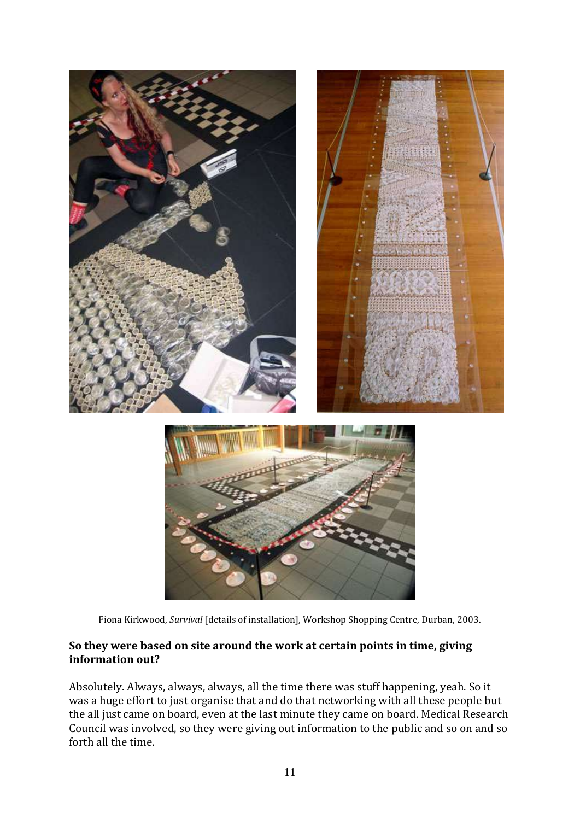



Fiona Kirkwood, *Survival* [details of installation], Workshop Shopping Centre, Durban, 2003.

### **So they were based on site around the work at certain points in time, giving information out?**

Absolutely. Always, always, always, all the time there was stuff happening, yeah. So it was a huge effort to just organise that and do that networking with all these people but the all just came on board, even at the last minute they came on board. Medical Research Council was involved, so they were giving out information to the public and so on and so forth all the time.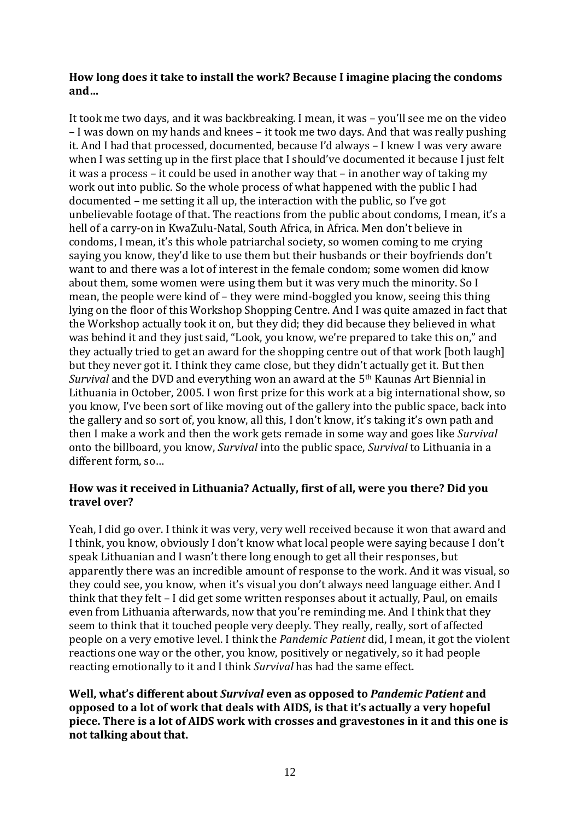#### **How long does it take to install the work? Because I imagine placing the condoms and…**

It took me two days, and it was backbreaking. I mean, it was – you'll see me on the video – I was down on my hands and knees – it took me two days. And that was really pushing it. And I had that processed, documented, because I'd always – I knew I was very aware when I was setting up in the first place that I should've documented it because I just felt it was a process – it could be used in another way that – in another way of taking my work out into public. So the whole process of what happened with the public I had documented – me setting it all up, the interaction with the public, so I've got unbelievable footage of that. The reactions from the public about condoms, I mean, it's a hell of a carry-on in KwaZulu-Natal, South Africa, in Africa. Men don't believe in condoms, I mean, it's this whole patriarchal society, so women coming to me crying saying you know, they'd like to use them but their husbands or their boyfriends don't want to and there was a lot of interest in the female condom; some women did know about them, some women were using them but it was very much the minority. So I mean, the people were kind of – they were mind-boggled you know, seeing this thing lying on the floor of this Workshop Shopping Centre. And I was quite amazed in fact that the Workshop actually took it on, but they did; they did because they believed in what was behind it and they just said, "Look, you know, we're prepared to take this on," and they actually tried to get an award for the shopping centre out of that work [both laugh] but they never got it. I think they came close, but they didn't actually get it. But then *Survival* and the DVD and everything won an award at the 5th Kaunas Art Biennial in Lithuania in October, 2005. I won first prize for this work at a big international show, so you know, I've been sort of like moving out of the gallery into the public space, back into the gallery and so sort of, you know, all this, I don't know, it's taking it's own path and then I make a work and then the work gets remade in some way and goes like *Survival* onto the billboard, you know, *Survival* into the public space, *Survival* to Lithuania in a different form, so…

### **How was it received in Lithuania? Actually, first of all, were you there? Did you travel over?**

Yeah, I did go over. I think it was very, very well received because it won that award and I think, you know, obviously I don't know what local people were saying because I don't speak Lithuanian and I wasn't there long enough to get all their responses, but apparently there was an incredible amount of response to the work. And it was visual, so they could see, you know, when it's visual you don't always need language either. And I think that they felt – I did get some written responses about it actually, Paul, on emails even from Lithuania afterwards, now that you're reminding me. And I think that they seem to think that it touched people very deeply. They really, really, sort of affected people on a very emotive level. I think the *Pandemic Patient* did, I mean, it got the violent reactions one way or the other, you know, positively or negatively, so it had people reacting emotionally to it and I think *Survival* has had the same effect.

**Well, what's different about** *Survival* **even as opposed to** *Pandemic Patient* **and opposed to a lot of work that deals with AIDS, is that it's actually a very hopeful piece. There is a lot of AIDS work with crosses and gravestones in it and this one is not talking about that.**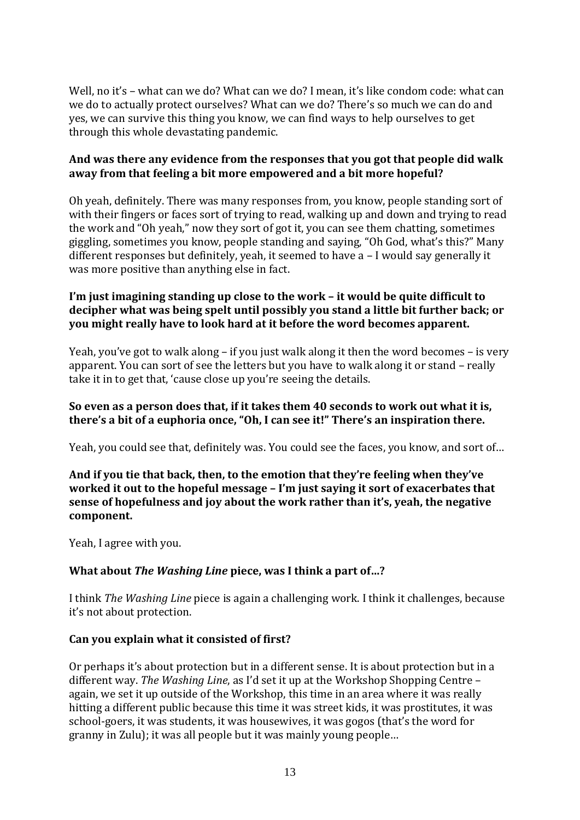Well, no it's - what can we do? What can we do? I mean, it's like condom code: what can we do to actually protect ourselves? What can we do? There's so much we can do and yes, we can survive this thing you know, we can find ways to help ourselves to get through this whole devastating pandemic.

#### **And was there any evidence from the responses that you got that people did walk away from that feeling a bit more empowered and a bit more hopeful?**

Oh yeah, definitely. There was many responses from, you know, people standing sort of with their fingers or faces sort of trying to read, walking up and down and trying to read the work and "Oh yeah," now they sort of got it, you can see them chatting, sometimes giggling, sometimes you know, people standing and saying, "Oh God, what's this?" Many different responses but definitely, yeah, it seemed to have a – I would say generally it was more positive than anything else in fact.

#### **I'm just imagining standing up close to the work – it would be quite difficult to decipher what was being spelt until possibly you stand a little bit further back; or you might really have to look hard at it before the word becomes apparent.**

Yeah, you've got to walk along – if you just walk along it then the word becomes – is very apparent. You can sort of see the letters but you have to walk along it or stand – really take it in to get that, 'cause close up you're seeing the details.

#### **So even as a person does that, if it takes them 40 seconds to work out what it is, there's a bit of a euphoria once, "Oh, I can see it!" There's an inspiration there.**

Yeah, you could see that, definitely was. You could see the faces, you know, and sort of…

#### **And if you tie that back, then, to the emotion that they're feeling when they've worked it out to the hopeful message – I'm just saying it sort of exacerbates that sense of hopefulness and joy about the work rather than it's, yeah, the negative component.**

Yeah, I agree with you.

### **What about** *The Washing Line* **piece, was I think a part of…?**

I think *The Washing Line* piece is again a challenging work. I think it challenges, because it's not about protection.

### **Can you explain what it consisted of first?**

Or perhaps it's about protection but in a different sense. It is about protection but in a different way. *The Washing Line*, as I'd set it up at the Workshop Shopping Centre – again, we set it up outside of the Workshop, this time in an area where it was really hitting a different public because this time it was street kids, it was prostitutes, it was school-goers, it was students, it was housewives, it was gogos (that's the word for granny in Zulu); it was all people but it was mainly young people…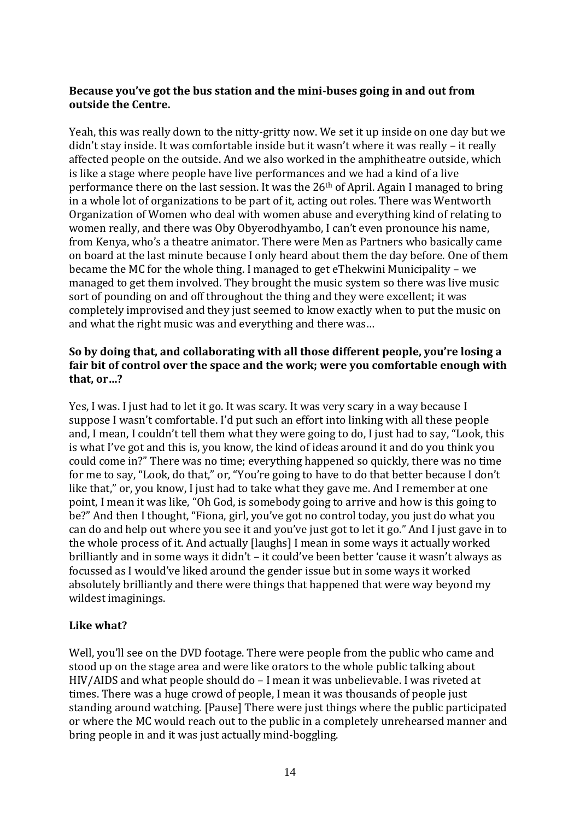#### **Because you've got the bus station and the mini-buses going in and out from outside the Centre.**

Yeah, this was really down to the nitty-gritty now. We set it up inside on one day but we didn't stay inside. It was comfortable inside but it wasn't where it was really – it really affected people on the outside. And we also worked in the amphitheatre outside, which is like a stage where people have live performances and we had a kind of a live performance there on the last session. It was the 26th of April. Again I managed to bring in a whole lot of organizations to be part of it, acting out roles. There was Wentworth Organization of Women who deal with women abuse and everything kind of relating to women really, and there was Oby Obyerodhyambo, I can't even pronounce his name, from Kenya, who's a theatre animator. There were Men as Partners who basically came on board at the last minute because I only heard about them the day before. One of them became the MC for the whole thing. I managed to get eThekwini Municipality – we managed to get them involved. They brought the music system so there was live music sort of pounding on and off throughout the thing and they were excellent; it was completely improvised and they just seemed to know exactly when to put the music on and what the right music was and everything and there was…

#### **So by doing that, and collaborating with all those different people, you're losing a fair bit of control over the space and the work; were you comfortable enough with that, or…?**

Yes, I was. I just had to let it go. It was scary. It was very scary in a way because I suppose I wasn't comfortable. I'd put such an effort into linking with all these people and, I mean, I couldn't tell them what they were going to do, I just had to say, "Look, this is what I've got and this is, you know, the kind of ideas around it and do you think you could come in?" There was no time; everything happened so quickly, there was no time for me to say, "Look, do that," or, "You're going to have to do that better because I don't like that," or, you know, I just had to take what they gave me. And I remember at one point, I mean it was like, "Oh God, is somebody going to arrive and how is this going to be?" And then I thought, "Fiona, girl, you've got no control today, you just do what you can do and help out where you see it and you've just got to let it go." And I just gave in to the whole process of it. And actually [laughs] I mean in some ways it actually worked brilliantly and in some ways it didn't – it could've been better 'cause it wasn't always as focussed as I would've liked around the gender issue but in some ways it worked absolutely brilliantly and there were things that happened that were way beyond my wildest imaginings.

#### **Like what?**

Well, you'll see on the DVD footage. There were people from the public who came and stood up on the stage area and were like orators to the whole public talking about HIV/AIDS and what people should do – I mean it was unbelievable. I was riveted at times. There was a huge crowd of people, I mean it was thousands of people just standing around watching. [Pause] There were just things where the public participated or where the MC would reach out to the public in a completely unrehearsed manner and bring people in and it was just actually mind-boggling.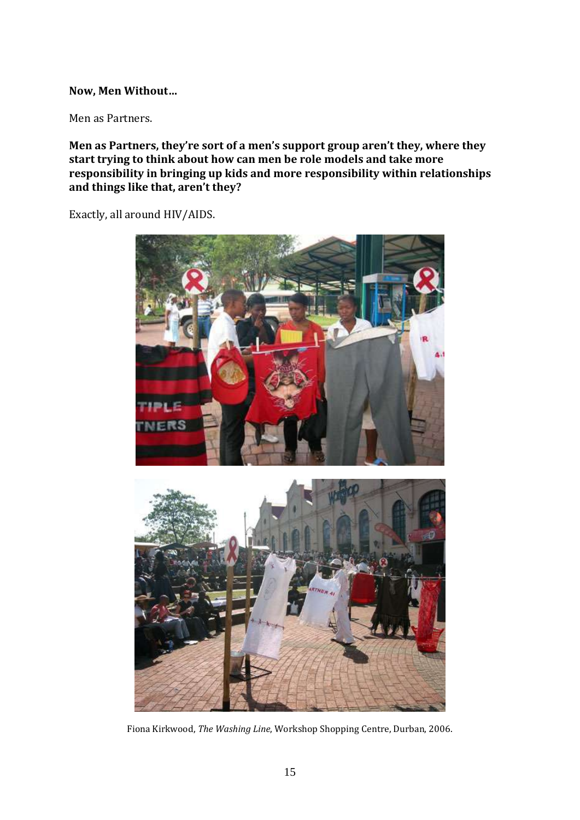#### **Now, Men Without…**

Men as Partners.

**Men as Partners, they're sort of a men's support group aren't they, where they start trying to think about how can men be role models and take more responsibility in bringing up kids and more responsibility within relationships and things like that, aren't they?**

Exactly, all around HIV/AIDS.



Fiona Kirkwood, *The Washing Line*, Workshop Shopping Centre, Durban, 2006.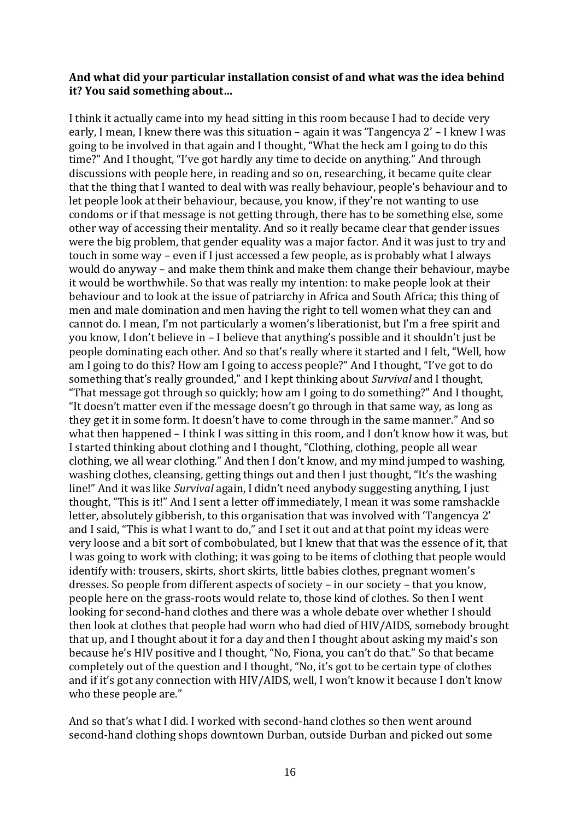#### **And what did your particular installation consist of and what was the idea behind it? You said something about…**

I think it actually came into my head sitting in this room because I had to decide very early, I mean, I knew there was this situation – again it was 'Tangencya 2' – I knew I was going to be involved in that again and I thought, "What the heck am I going to do this time?" And I thought, "I've got hardly any time to decide on anything." And through discussions with people here, in reading and so on, researching, it became quite clear that the thing that I wanted to deal with was really behaviour, people's behaviour and to let people look at their behaviour, because, you know, if they're not wanting to use condoms or if that message is not getting through, there has to be something else, some other way of accessing their mentality. And so it really became clear that gender issues were the big problem, that gender equality was a major factor. And it was just to try and touch in some way – even if I just accessed a few people, as is probably what I always would do anyway – and make them think and make them change their behaviour, maybe it would be worthwhile. So that was really my intention: to make people look at their behaviour and to look at the issue of patriarchy in Africa and South Africa; this thing of men and male domination and men having the right to tell women what they can and cannot do. I mean, I'm not particularly a women's liberationist, but I'm a free spirit and you know, I don't believe in – I believe that anything's possible and it shouldn't just be people dominating each other. And so that's really where it started and I felt, "Well, how am I going to do this? How am I going to access people?" And I thought, "I've got to do something that's really grounded," and I kept thinking about *Survival* and I thought, "That message got through so quickly; how am I going to do something?" And I thought, "It doesn't matter even if the message doesn't go through in that same way, as long as they get it in some form. It doesn't have to come through in the same manner." And so what then happened – I think I was sitting in this room, and I don't know how it was, but I started thinking about clothing and I thought, "Clothing, clothing, people all wear clothing, we all wear clothing." And then I don't know, and my mind jumped to washing, washing clothes, cleansing, getting things out and then I just thought, "It's the washing line!" And it was like *Survival* again, I didn't need anybody suggesting anything, I just thought, "This is it!" And I sent a letter off immediately, I mean it was some ramshackle letter, absolutely gibberish, to this organisation that was involved with 'Tangencya 2' and I said, "This is what I want to do," and I set it out and at that point my ideas were very loose and a bit sort of combobulated, but I knew that that was the essence of it, that I was going to work with clothing; it was going to be items of clothing that people would identify with: trousers, skirts, short skirts, little babies clothes, pregnant women's dresses. So people from different aspects of society – in our society – that you know, people here on the grass-roots would relate to, those kind of clothes. So then I went looking for second-hand clothes and there was a whole debate over whether I should then look at clothes that people had worn who had died of HIV/AIDS, somebody brought that up, and I thought about it for a day and then I thought about asking my maid's son because he's HIV positive and I thought, "No, Fiona, you can't do that." So that became completely out of the question and I thought, "No, it's got to be certain type of clothes and if it's got any connection with HIV/AIDS, well, I won't know it because I don't know who these people are."

And so that's what I did. I worked with second-hand clothes so then went around second-hand clothing shops downtown Durban, outside Durban and picked out some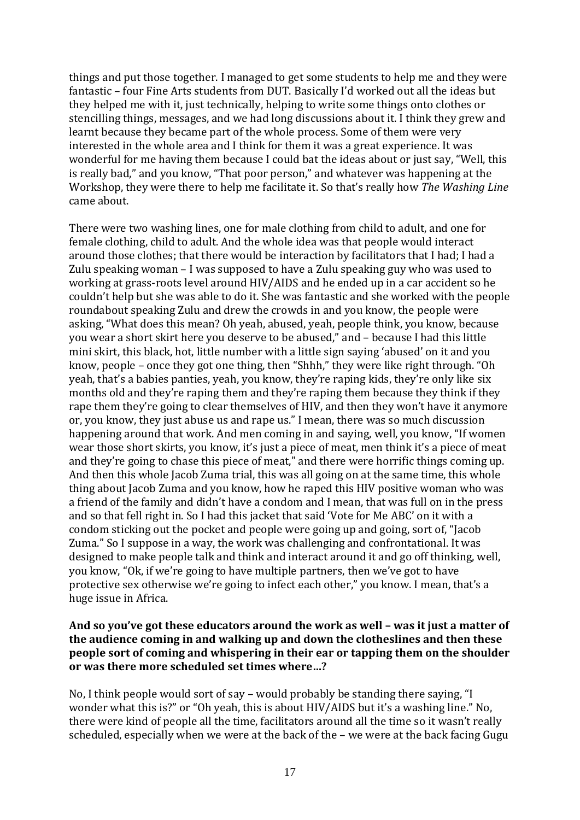things and put those together. I managed to get some students to help me and they were fantastic – four Fine Arts students from DUT. Basically I'd worked out all the ideas but they helped me with it, just technically, helping to write some things onto clothes or stencilling things, messages, and we had long discussions about it. I think they grew and learnt because they became part of the whole process. Some of them were very interested in the whole area and I think for them it was a great experience. It was wonderful for me having them because I could bat the ideas about or just say, "Well, this is really bad," and you know, "That poor person," and whatever was happening at the Workshop, they were there to help me facilitate it. So that's really how *The Washing Line* came about.

There were two washing lines, one for male clothing from child to adult, and one for female clothing, child to adult. And the whole idea was that people would interact around those clothes; that there would be interaction by facilitators that I had; I had a Zulu speaking woman – I was supposed to have a Zulu speaking guy who was used to working at grass-roots level around HIV/AIDS and he ended up in a car accident so he couldn't help but she was able to do it. She was fantastic and she worked with the people roundabout speaking Zulu and drew the crowds in and you know, the people were asking, "What does this mean? Oh yeah, abused, yeah, people think, you know, because you wear a short skirt here you deserve to be abused," and – because I had this little mini skirt, this black, hot, little number with a little sign saying 'abused' on it and you know, people – once they got one thing, then "Shhh," they were like right through. "Oh yeah, that's a babies panties, yeah, you know, they're raping kids, they're only like six months old and they're raping them and they're raping them because they think if they rape them they're going to clear themselves of HIV, and then they won't have it anymore or, you know, they just abuse us and rape us." I mean, there was so much discussion happening around that work. And men coming in and saying, well, you know, "If women wear those short skirts, you know, it's just a piece of meat, men think it's a piece of meat and they're going to chase this piece of meat," and there were horrific things coming up. And then this whole Jacob Zuma trial, this was all going on at the same time, this whole thing about Jacob Zuma and you know, how he raped this HIV positive woman who was a friend of the family and didn't have a condom and I mean, that was full on in the press and so that fell right in. So I had this jacket that said 'Vote for Me ABC' on it with a condom sticking out the pocket and people were going up and going, sort of, "Jacob Zuma." So I suppose in a way, the work was challenging and confrontational. It was designed to make people talk and think and interact around it and go off thinking, well, you know, "Ok, if we're going to have multiple partners, then we've got to have protective sex otherwise we're going to infect each other," you know. I mean, that's a huge issue in Africa.

#### **And so you've got these educators around the work as well – was it just a matter of the audience coming in and walking up and down the clotheslines and then these people sort of coming and whispering in their ear or tapping them on the shoulder or was there more scheduled set times where…?**

No, I think people would sort of say – would probably be standing there saying, "I wonder what this is?" or "Oh yeah, this is about HIV/AIDS but it's a washing line." No, there were kind of people all the time, facilitators around all the time so it wasn't really scheduled, especially when we were at the back of the – we were at the back facing Gugu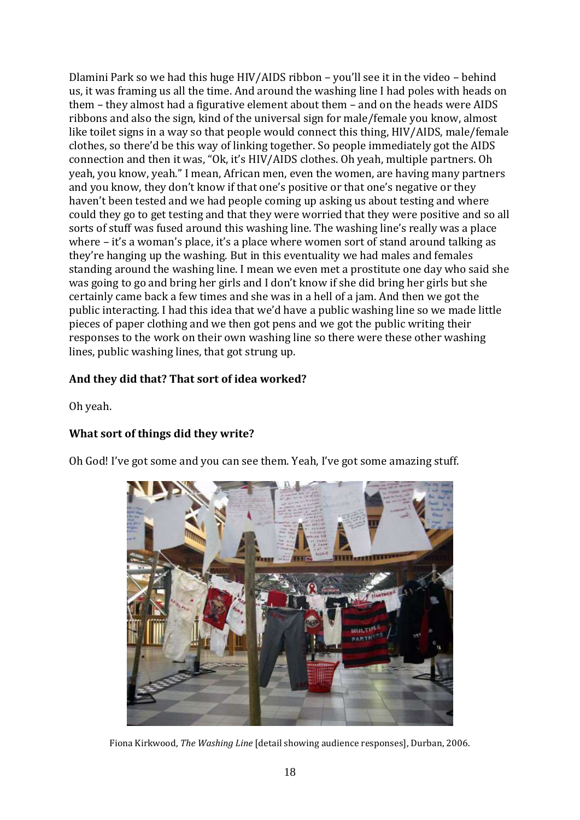Dlamini Park so we had this huge HIV/AIDS ribbon – you'll see it in the video – behind us, it was framing us all the time. And around the washing line I had poles with heads on them – they almost had a figurative element about them – and on the heads were AIDS ribbons and also the sign, kind of the universal sign for male/female you know, almost like toilet signs in a way so that people would connect this thing, HIV/AIDS, male/female clothes, so there'd be this way of linking together. So people immediately got the AIDS connection and then it was, "Ok, it's HIV/AIDS clothes. Oh yeah, multiple partners. Oh yeah, you know, yeah." I mean, African men, even the women, are having many partners and you know, they don't know if that one's positive or that one's negative or they haven't been tested and we had people coming up asking us about testing and where could they go to get testing and that they were worried that they were positive and so all sorts of stuff was fused around this washing line. The washing line's really was a place where – it's a woman's place, it's a place where women sort of stand around talking as they're hanging up the washing. But in this eventuality we had males and females standing around the washing line. I mean we even met a prostitute one day who said she was going to go and bring her girls and I don't know if she did bring her girls but she certainly came back a few times and she was in a hell of a jam. And then we got the public interacting. I had this idea that we'd have a public washing line so we made little pieces of paper clothing and we then got pens and we got the public writing their responses to the work on their own washing line so there were these other washing lines, public washing lines, that got strung up.

### **And they did that? That sort of idea worked?**

Oh yeah.

### **What sort of things did they write?**

Oh God! I've got some and you can see them. Yeah, I've got some amazing stuff.



Fiona Kirkwood, *The Washing Line* [detail showing audience responses], Durban, 2006.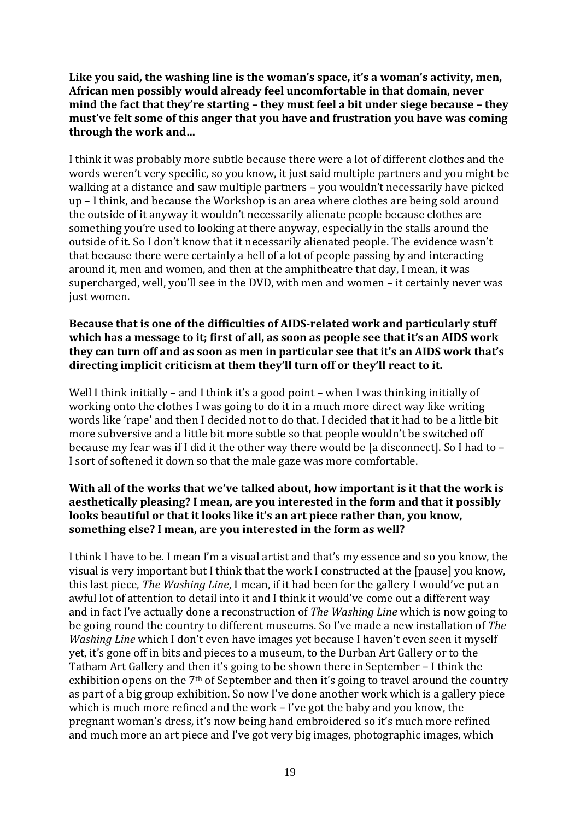Like you said, the washing line is the woman's space, it's a woman's activity, men, **African men possibly would already feel uncomfortable in that domain, never mind the fact that they're starting – they must feel a bit under siege because – they must've felt some of this anger that you have and frustration you have was coming through the work and…**

I think it was probably more subtle because there were a lot of different clothes and the words weren't very specific, so you know, it just said multiple partners and you might be walking at a distance and saw multiple partners – you wouldn't necessarily have picked up – I think, and because the Workshop is an area where clothes are being sold around the outside of it anyway it wouldn't necessarily alienate people because clothes are something you're used to looking at there anyway, especially in the stalls around the outside of it. So I don't know that it necessarily alienated people. The evidence wasn't that because there were certainly a hell of a lot of people passing by and interacting around it, men and women, and then at the amphitheatre that day, I mean, it was supercharged, well, you'll see in the DVD, with men and women – it certainly never was just women.

#### **Because that is one of the difficulties of AIDS-related work and particularly stuff which has a message to it; first of all, as soon as people see that it's an AIDS work they can turn off and as soon as men in particular see that it's an AIDS work that's directing implicit criticism at them they'll turn off or they'll react to it.**

Well I think initially – and I think it's a good point – when I was thinking initially of working onto the clothes I was going to do it in a much more direct way like writing words like 'rape' and then I decided not to do that. I decided that it had to be a little bit more subversive and a little bit more subtle so that people wouldn't be switched off because my fear was if I did it the other way there would be [a disconnect]. So I had to – I sort of softened it down so that the male gaze was more comfortable.

### **With all of the works that we've talked about, how important is it that the work is aesthetically pleasing? I mean, are you interested in the form and that it possibly looks beautiful or that it looks like it's an art piece rather than, you know, something else? I mean, are you interested in the form as well?**

I think I have to be. I mean I'm a visual artist and that's my essence and so you know, the visual is very important but I think that the work I constructed at the [pause] you know, this last piece, *The Washing Line*, I mean, if it had been for the gallery I would've put an awful lot of attention to detail into it and I think it would've come out a different way and in fact I've actually done a reconstruction of *The Washing Line* which is now going to be going round the country to different museums. So I've made a new installation of *The Washing Line* which I don't even have images yet because I haven't even seen it myself yet, it's gone off in bits and pieces to a museum, to the Durban Art Gallery or to the Tatham Art Gallery and then it's going to be shown there in September – I think the exhibition opens on the 7<sup>th</sup> of September and then it's going to travel around the country as part of a big group exhibition. So now I've done another work which is a gallery piece which is much more refined and the work – I've got the baby and you know, the pregnant woman's dress, it's now being hand embroidered so it's much more refined and much more an art piece and I've got very big images, photographic images, which